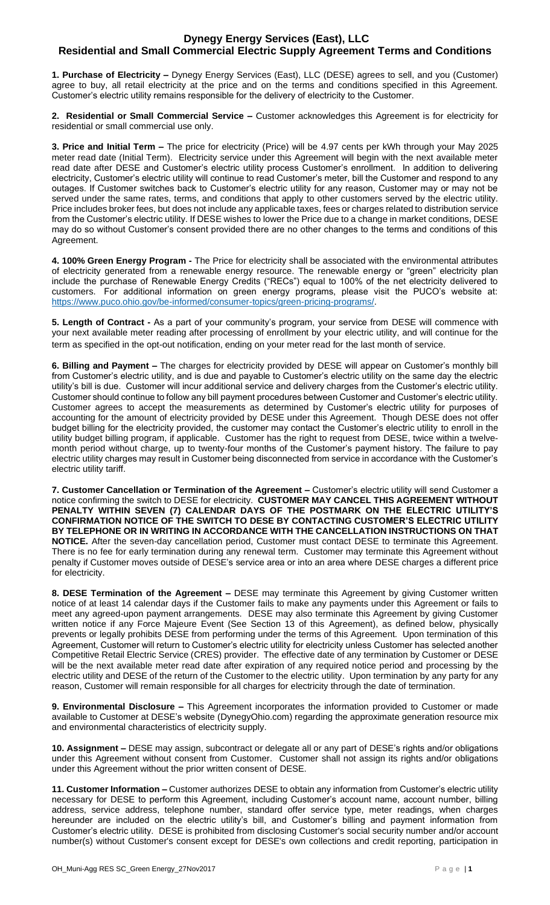## **Dynegy Energy Services (East), LLC Residential and Small Commercial Electric Supply Agreement Terms and Conditions**

**1. Purchase of Electricity –** Dynegy Energy Services (East), LLC (DESE) agrees to sell, and you (Customer) agree to buy, all retail electricity at the price and on the terms and conditions specified in this Agreement. Customer's electric utility remains responsible for the delivery of electricity to the Customer.

**2. Residential or Small Commercial Service –** Customer acknowledges this Agreement is for electricity for residential or small commercial use only.

**3. Price and Initial Term –** The price for electricity (Price) will be 4.97 cents per kWh through your May 2025 meter read date (Initial Term). Electricity service under this Agreement will begin with the next available meter read date after DESE and Customer's electric utility process Customer's enrollment. In addition to delivering electricity, Customer's electric utility will continue to read Customer's meter, bill the Customer and respond to any outages. If Customer switches back to Customer's electric utility for any reason, Customer may or may not be served under the same rates, terms, and conditions that apply to other customers served by the electric utility. Price includes broker fees, but does not include any applicable taxes, fees or charges related to distribution service from the Customer's electric utility. If DESE wishes to lower the Price due to a change in market conditions, DESE may do so without Customer's consent provided there are no other changes to the terms and conditions of this Agreement.

**4. 100% Green Energy Program -** The Price for electricity shall be associated with the environmental attributes of electricity generated from a renewable energy resource. The renewable energy or "green" electricity plan include the purchase of Renewable Energy Credits ("RECs") equal to 100% of the net electricity delivered to customers. For additional information on green energy programs, please visit the PUCO's website at: [https://www.puco.ohio.gov/be-informed/consumer-topics/green-pricing-programs/.](https://www.puco.ohio.gov/be-informed/consumer-topics/green-pricing-programs/)

**5. Length of Contract -** As a part of your community's program, your service from DESE will commence with your next available meter reading after processing of enrollment by your electric utility, and will continue for the term as specified in the opt-out notification, ending on your meter read for the last month of service.

**6. Billing and Payment –** The charges for electricity provided by DESE will appear on Customer's monthly bill from Customer's electric utility, and is due and payable to Customer's electric utility on the same day the electric utility's bill is due. Customer will incur additional service and delivery charges from the Customer's electric utility. Customer should continue to follow any bill payment procedures between Customer and Customer's electric utility. Customer agrees to accept the measurements as determined by Customer's electric utility for purposes of accounting for the amount of electricity provided by DESE under this Agreement. Though DESE does not offer budget billing for the electricity provided, the customer may contact the Customer's electric utility to enroll in the utility budget billing program, if applicable. Customer has the right to request from DESE, twice within a twelvemonth period without charge, up to twenty-four months of the Customer's payment history. The failure to pay electric utility charges may result in Customer being disconnected from service in accordance with the Customer's electric utility tariff.

**7. Customer Cancellation or Termination of the Agreement –** Customer's electric utility will send Customer a notice confirming the switch to DESE for electricity. **CUSTOMER MAY CANCEL THIS AGREEMENT WITHOUT PENALTY WITHIN SEVEN (7) CALENDAR DAYS OF THE POSTMARK ON THE ELECTRIC UTILITY'S CONFIRMATION NOTICE OF THE SWITCH TO DESE BY CONTACTING CUSTOMER'S ELECTRIC UTILITY BY TELEPHONE OR IN WRITING IN ACCORDANCE WITH THE CANCELLATION INSTRUCTIONS ON THAT NOTICE.** After the seven-day cancellation period, Customer must contact DESE to terminate this Agreement. There is no fee for early termination during any renewal term. Customer may terminate this Agreement without penalty if Customer moves outside of DESE's service area or into an area where DESE charges a different price for electricity.

**8. DESE Termination of the Agreement –** DESE may terminate this Agreement by giving Customer written notice of at least 14 calendar days if the Customer fails to make any payments under this Agreement or fails to meet any agreed-upon payment arrangements. DESE may also terminate this Agreement by giving Customer written notice if any Force Majeure Event (See Section 13 of this Agreement), as defined below, physically prevents or legally prohibits DESE from performing under the terms of this Agreement. Upon termination of this Agreement, Customer will return to Customer's electric utility for electricity unless Customer has selected another Competitive Retail Electric Service (CRES) provider. The effective date of any termination by Customer or DESE will be the next available meter read date after expiration of any required notice period and processing by the electric utility and DESE of the return of the Customer to the electric utility. Upon termination by any party for any reason, Customer will remain responsible for all charges for electricity through the date of termination.

**9. Environmental Disclosure –** This Agreement incorporates the information provided to Customer or made available to Customer at DESE's website (DynegyOhio.com) regarding the approximate generation resource mix and environmental characteristics of electricity supply.

**10. Assignment –** DESE may assign, subcontract or delegate all or any part of DESE's rights and/or obligations under this Agreement without consent from Customer. Customer shall not assign its rights and/or obligations under this Agreement without the prior written consent of DESE.

**11. Customer Information –** Customer authorizes DESE to obtain any information from Customer's electric utility necessary for DESE to perform this Agreement, including Customer's account name, account number, billing address, service address, telephone number, standard offer service type, meter readings, when charges hereunder are included on the electric utility's bill, and Customer's billing and payment information from Customer's electric utility. DESE is prohibited from disclosing Customer's social security number and/or account number(s) without Customer's consent except for DESE's own collections and credit reporting, participation in